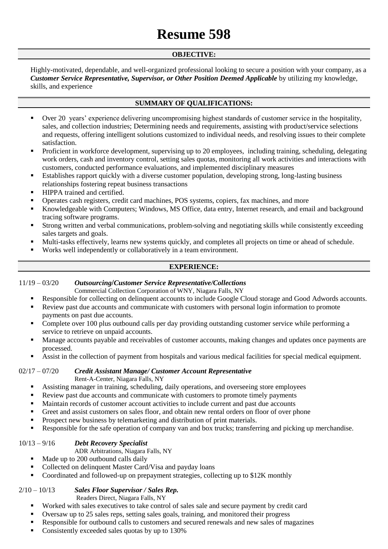# **Resume 598**

## **OBJECTIVE:**

Highly-motivated, dependable, and well-organized professional looking to secure a position with your company, as a *Customer Service Representative, Supervisor, or Other Position Deemed Applicable* by utilizing my knowledge, skills, and experience

# **SUMMARY OF QUALIFICATIONS:**

- Over 20 years' experience delivering uncompromising highest standards of customer service in the hospitality, sales, and collection industries; Determining needs and requirements, assisting with product/service selections and requests, offering intelligent solutions customized to individual needs, and resolving issues to their complete satisfaction.
- Proficient in workforce development, supervising up to 20 employees, including training, scheduling, delegating work orders, cash and inventory control, setting sales quotas, monitoring all work activities and interactions with customers, conducted performance evaluations, and implemented disciplinary measures
- Establishes rapport quickly with a diverse customer population, developing strong, long-lasting business relationships fostering repeat business transactions
- **HIPPA** trained and certified.
- Operates cash registers, credit card machines, POS systems, copiers, fax machines, and more
- Knowledgeable with Computers; Windows, MS Office, data entry, Internet research, and email and background tracing software programs.
- Strong written and verbal communications, problem-solving and negotiating skills while consistently exceeding sales targets and goals.
- Multi-tasks effectively, learns new systems quickly, and completes all projects on time or ahead of schedule.
- Works well independently or collaboratively in a team environment.

## **EXPERIENCE:**

## 11/19 – 03/20 *Outsourcing***/***Customer Service Representative/Collections*

Commercial Collection Corporation of WNY, Niagara Falls, NY

- Responsible for collecting on delinquent accounts to include Google Cloud storage and Good Adwords accounts.
- Review past due accounts and communicate with customers with personal login information to promote payments on past due accounts.
- Complete over 100 plus outbound calls per day providing outstanding customer service while performing a service to retrieve on unpaid accounts.
- Manage accounts payable and receivables of customer accounts, making changes and updates once payments are processed.
- Assist in the collection of payment from hospitals and various medical facilities for special medical equipment.

## 02/17 – 07/20 *Credit Assistant Manage/ Customer Account Representative*

Rent-A-Center, Niagara Falls, NY

- Assisting manager in training, scheduling, daily operations, and overseeing store employees
- Review past due accounts and communicate with customers to promote timely payments
- Maintain records of customer account activities to include current and past due accounts
- Greet and assist customers on sales floor, and obtain new rental orders on floor of over phone
- **Prospect new business by telemarketing and distribution of print materials.**
- **Responsible for the safe operation of company van and box trucks; transferring and picking up merchandise.**

## 10/13 – 9/16 *Debt Recovery Specialist*

ADR Arbitrations, Niagara Falls, NY

- Made up to 200 outbound calls daily
- Collected on delinquent Master Card/Visa and payday loans
- Coordinated and followed-up on prepayment strategies, collecting up to \$12K monthly

## 2/10 – 10/13 *Sales Floor Supervisor / Sales Rep.*

Readers Direct, Niagara Falls, NY

- Worked with sales executives to take control of sales sale and secure payment by credit card
- Oversaw up to 25 sales reps, setting sales goals, training, and monitored their progress
- Responsible for outbound calls to customers and secured renewals and new sales of magazines
- Consistently exceeded sales quotas by up to 130%